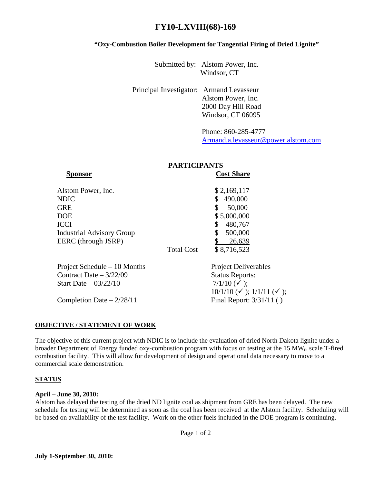# **FY10-LXVIII(68)-169**

#### **"Oxy-Combustion Boiler Development for Tangential Firing of Dried Lignite"**

Submitted by: Alstom Power, Inc. Windsor, CT

Principal Investigator: Armand Levasseur Alstom Power, Inc. 2000 Day Hill Road Windsor, CT 06095

> Phone: 860-285-4777 [Armand.a.levasseur@power.alstom.com](mailto:Armand.a.levasseur@power.alstom.com)

## **PARTICIPANTS**

| <b>Sponsor</b>                   |                   | <b>Cost Share</b>                                      |
|----------------------------------|-------------------|--------------------------------------------------------|
| Alstom Power, Inc.               |                   | \$2,169,117                                            |
| <b>NDIC</b>                      |                   | 490,000<br>\$                                          |
| <b>GRE</b>                       |                   | \$<br>50,000                                           |
| <b>DOE</b>                       |                   | \$5,000,000                                            |
| <b>ICCI</b>                      |                   | \$<br>480,767                                          |
| <b>Industrial Advisory Group</b> |                   | \$<br>500,000                                          |
| EERC (through JSRP)              |                   | 26,639                                                 |
|                                  | <b>Total Cost</b> | \$8,716,523                                            |
| Project Schedule – 10 Months     |                   | <b>Project Deliverables</b>                            |
| Contract Date $-3/22/09$         |                   | <b>Status Reports:</b>                                 |
| Start Date $-03/22/10$           |                   | 7/1/10 $(\checkmark)$ ;                                |
|                                  |                   | $10/1/10 \, (\checkmark)$ ; $1/1/11 \, (\checkmark)$ ; |
| Completion Date $-2/28/11$       |                   | Final Report: 3/31/11 ()                               |

#### **OBJECTIVE / STATEMENT OF WORK**

The objective of this current project with NDIC is to include the evaluation of dried North Dakota lignite under a broader Department of Energy funded oxy-combustion program with focus on testing at the 15 MW<sub>th</sub> scale T-fired combustion facility. This will allow for development of design and operational data necessary to move to a commercial scale demonstration.

## **STATUS**

#### **April – June 30, 2010:**

Alstom has delayed the testing of the dried ND lignite coal as shipment from GRE has been delayed. The new schedule for testing will be determined as soon as the coal has been received at the Alstom facility. Scheduling will be based on availability of the test facility. Work on the other fuels included in the DOE program is continuing.